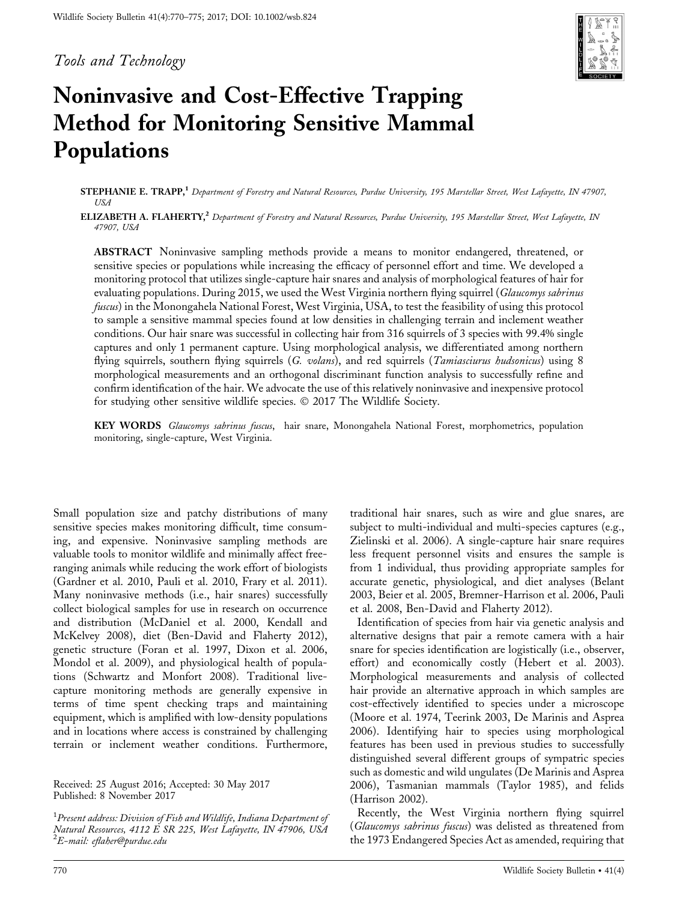Tools and Technology



# Noninvasive and Cost-Effective Trapping Method for Monitoring Sensitive Mammal Populations

STEPHANIE E. TRAPP,<sup>1</sup> Department of Forestry and Natural Resources, Purdue University, 195 Marstellar Street, West Lafayette, IN 47907, USA

ELIZABETH A. FLAHERTY,<sup>2</sup> Department of Forestry and Natural Resources, Purdue University, 195 Marstellar Street, West Lafayette, IN 47907, USA

ABSTRACT Noninvasive sampling methods provide a means to monitor endangered, threatened, or sensitive species or populations while increasing the efficacy of personnel effort and time. We developed a monitoring protocol that utilizes single-capture hair snares and analysis of morphological features of hair for evaluating populations. During 2015, we used the West Virginia northern flying squirrel (Glaucomys sabrinus fuscus) in the Monongahela National Forest, West Virginia, USA, to test the feasibility of using this protocol to sample a sensitive mammal species found at low densities in challenging terrain and inclement weather conditions. Our hair snare was successful in collecting hair from 316 squirrels of 3 species with 99.4% single captures and only 1 permanent capture. Using morphological analysis, we differentiated among northern flying squirrels, southern flying squirrels (G. volans), and red squirrels (*Tamiasciurus hudsonicus*) using 8 morphological measurements and an orthogonal discriminant function analysis to successfully refine and confirm identification of the hair. We advocate the use of this relatively noninvasive and inexpensive protocol for studying other sensitive wildlife species.  $\odot$  2017 The Wildlife Society.

KEY WORDS Glaucomys sabrinus fuscus, hair snare, Monongahela National Forest, morphometrics, population monitoring, single-capture, West Virginia.

Small population size and patchy distributions of many sensitive species makes monitoring difficult, time consuming, and expensive. Noninvasive sampling methods are valuable tools to monitor wildlife and minimally affect freeranging animals while reducing the work effort of biologists (Gardner et al. 2010, Pauli et al. 2010, Frary et al. 2011). Many noninvasive methods (i.e., hair snares) successfully collect biological samples for use in research on occurrence and distribution (McDaniel et al. 2000, Kendall and McKelvey 2008), diet (Ben-David and Flaherty 2012), genetic structure (Foran et al. 1997, Dixon et al. 2006, Mondol et al. 2009), and physiological health of populations (Schwartz and Monfort 2008). Traditional livecapture monitoring methods are generally expensive in terms of time spent checking traps and maintaining equipment, which is amplified with low-density populations and in locations where access is constrained by challenging terrain or inclement weather conditions. Furthermore,

Received: 25 August 2016; Accepted: 30 May 2017 Published: 8 November 2017

 $^1$ Present address: Division of Fish and Wildlife, Indiana Department of Natural Resources, 4112 E SR 225, West Lafayette, IN 47906, USA  $^2$ E-mail: eflaher@purdue.edu

traditional hair snares, such as wire and glue snares, are subject to multi-individual and multi-species captures (e.g., Zielinski et al. 2006). A single-capture hair snare requires less frequent personnel visits and ensures the sample is from 1 individual, thus providing appropriate samples for accurate genetic, physiological, and diet analyses (Belant 2003, Beier et al. 2005, Bremner-Harrison et al. 2006, Pauli et al. 2008, Ben-David and Flaherty 2012).

Identification of species from hair via genetic analysis and alternative designs that pair a remote camera with a hair snare for species identification are logistically (i.e., observer, effort) and economically costly (Hebert et al. 2003). Morphological measurements and analysis of collected hair provide an alternative approach in which samples are cost-effectively identified to species under a microscope (Moore et al. 1974, Teerink 2003, De Marinis and Asprea 2006). Identifying hair to species using morphological features has been used in previous studies to successfully distinguished several different groups of sympatric species such as domestic and wild ungulates (De Marinis and Asprea 2006), Tasmanian mammals (Taylor 1985), and felids (Harrison 2002).

Recently, the West Virginia northern flying squirrel (Glaucomys sabrinus fuscus) was delisted as threatened from the 1973 Endangered Species Act as amended, requiring that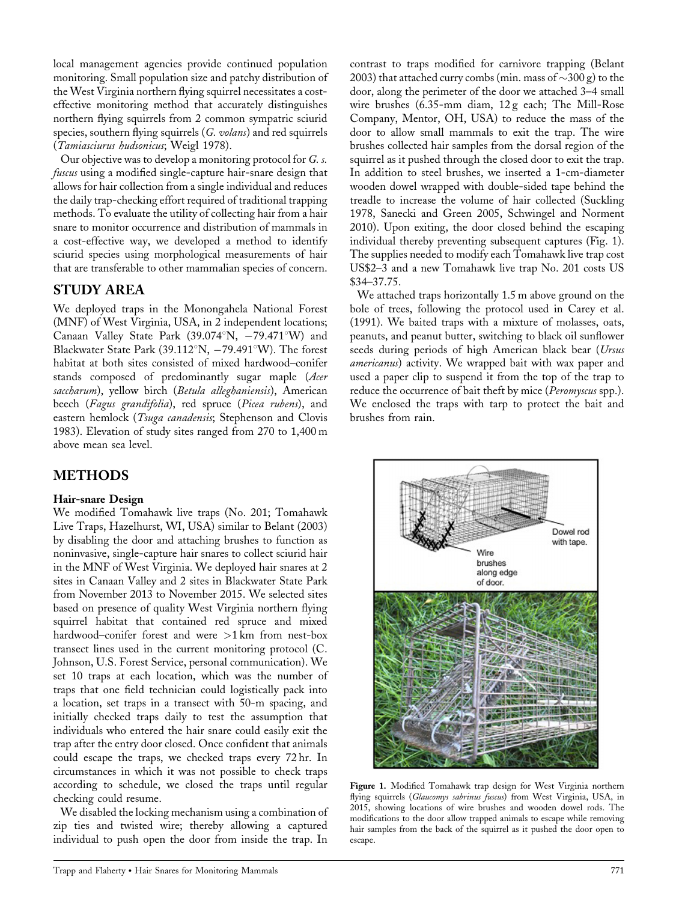local management agencies provide continued population monitoring. Small population size and patchy distribution of the West Virginia northern flying squirrel necessitates a costeffective monitoring method that accurately distinguishes northern flying squirrels from 2 common sympatric sciurid species, southern flying squirrels (G. volans) and red squirrels (Tamiasciurus hudsonicus; Weigl 1978).

Our objective was to develop a monitoring protocol for G. s. fuscus using a modified single-capture hair-snare design that allows for hair collection from a single individual and reduces the daily trap-checking effort required of traditional trapping methods. To evaluate the utility of collecting hair from a hair snare to monitor occurrence and distribution of mammals in a cost-effective way, we developed a method to identify sciurid species using morphological measurements of hair that are transferable to other mammalian species of concern.

# STUDY AREA

We deployed traps in the Monongahela National Forest (MNF) of West Virginia, USA, in 2 independent locations; Canaan Valley State Park (39.074°N,  $-79.471^{\circ}$ W) and Blackwater State Park (39.112°N,  $-79.491$ °W). The forest habitat at both sites consisted of mixed hardwood–conifer stands composed of predominantly sugar maple (Acer saccharum), yellow birch (Betula alleghaniensis), American beech (Fagus grandifolia), red spruce (Picea rubens), and eastern hemlock (Tsuga canadensis; Stephenson and Clovis 1983). Elevation of study sites ranged from 270 to 1,400 m above mean sea level.

# METHODS

#### Hair-snare Design

We modified Tomahawk live traps (No. 201; Tomahawk Live Traps, Hazelhurst, WI, USA) similar to Belant (2003) by disabling the door and attaching brushes to function as noninvasive, single-capture hair snares to collect sciurid hair in the MNF of West Virginia. We deployed hair snares at 2 sites in Canaan Valley and 2 sites in Blackwater State Park from November 2013 to November 2015. We selected sites based on presence of quality West Virginia northern flying squirrel habitat that contained red spruce and mixed hardwood–conifer forest and were >1 km from nest-box transect lines used in the current monitoring protocol (C. Johnson, U.S. Forest Service, personal communication). We set 10 traps at each location, which was the number of traps that one field technician could logistically pack into a location, set traps in a transect with 50-m spacing, and initially checked traps daily to test the assumption that individuals who entered the hair snare could easily exit the trap after the entry door closed. Once confident that animals could escape the traps, we checked traps every 72 hr. In circumstances in which it was not possible to check traps according to schedule, we closed the traps until regular checking could resume.

We disabled the locking mechanism using a combination of zip ties and twisted wire; thereby allowing a captured individual to push open the door from inside the trap. In

contrast to traps modified for carnivore trapping (Belant 2003) that attached curry combs (min. mass of  $\sim$ 300 g) to the door, along the perimeter of the door we attached 3–4 small wire brushes (6.35-mm diam, 12 g each; The Mill-Rose Company, Mentor, OH, USA) to reduce the mass of the door to allow small mammals to exit the trap. The wire brushes collected hair samples from the dorsal region of the squirrel as it pushed through the closed door to exit the trap. In addition to steel brushes, we inserted a 1-cm-diameter wooden dowel wrapped with double-sided tape behind the treadle to increase the volume of hair collected (Suckling 1978, Sanecki and Green 2005, Schwingel and Norment 2010). Upon exiting, the door closed behind the escaping individual thereby preventing subsequent captures (Fig. 1). The supplies needed to modify each Tomahawk live trap cost US\$2–3 and a new Tomahawk live trap No. 201 costs US \$34–37.75.

We attached traps horizontally 1.5 m above ground on the bole of trees, following the protocol used in Carey et al. (1991). We baited traps with a mixture of molasses, oats, peanuts, and peanut butter, switching to black oil sunflower seeds during periods of high American black bear (Ursus americanus) activity. We wrapped bait with wax paper and used a paper clip to suspend it from the top of the trap to reduce the occurrence of bait theft by mice (Peromyscus spp.). We enclosed the traps with tarp to protect the bait and brushes from rain.



Figure 1. Modified Tomahawk trap design for West Virginia northern flying squirrels (Glaucomys sabrinus fuscus) from West Virginia, USA, in 2015, showing locations of wire brushes and wooden dowel rods. The modifications to the door allow trapped animals to escape while removing hair samples from the back of the squirrel as it pushed the door open to escape.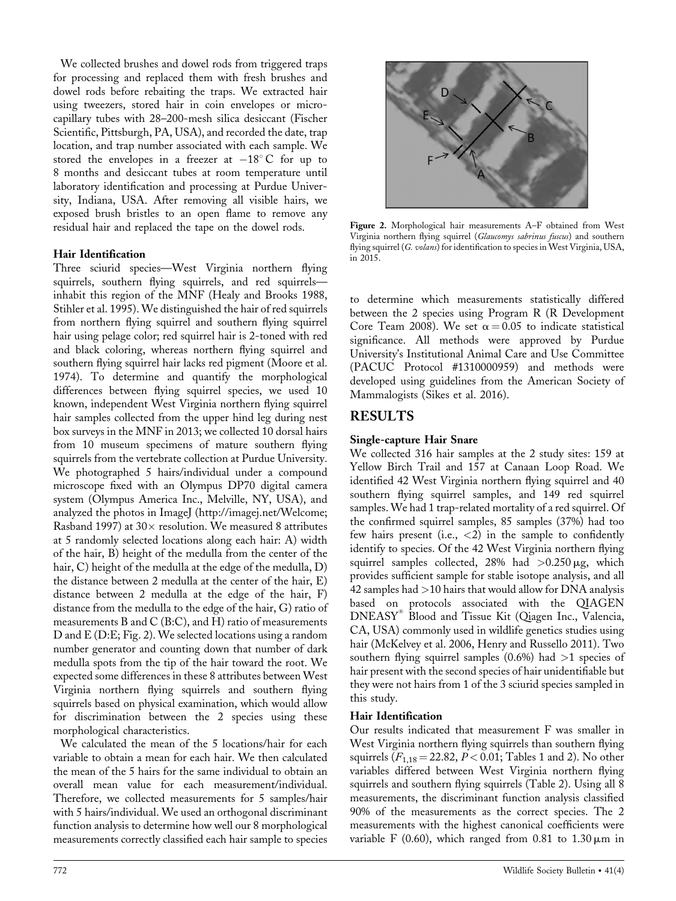We collected brushes and dowel rods from triggered traps for processing and replaced them with fresh brushes and dowel rods before rebaiting the traps. We extracted hair using tweezers, stored hair in coin envelopes or microcapillary tubes with 28–200-mesh silica desiccant (Fischer Scientific, Pittsburgh, PA, USA), and recorded the date, trap location, and trap number associated with each sample. We stored the envelopes in a freezer at  $-18^{\circ}$ C for up to 8 months and desiccant tubes at room temperature until laboratory identification and processing at Purdue University, Indiana, USA. After removing all visible hairs, we exposed brush bristles to an open flame to remove any residual hair and replaced the tape on the dowel rods.

#### Hair Identification

Three sciurid species—West Virginia northern flying squirrels, southern flying squirrels, and red squirrels inhabit this region of the MNF (Healy and Brooks 1988, Stihler et al. 1995). We distinguished the hair of red squirrels from northern flying squirrel and southern flying squirrel hair using pelage color; red squirrel hair is 2-toned with red and black coloring, whereas northern flying squirrel and southern flying squirrel hair lacks red pigment (Moore et al. 1974). To determine and quantify the morphological differences between flying squirrel species, we used 10 known, independent West Virginia northern flying squirrel hair samples collected from the upper hind leg during nest box surveys in the MNF in 2013; we collected 10 dorsal hairs from 10 museum specimens of mature southern flying squirrels from the vertebrate collection at Purdue University. We photographed 5 hairs/individual under a compound microscope fixed with an Olympus DP70 digital camera system (Olympus America Inc., Melville, NY, USA), and analyzed the photos in ImageJ (<http://imagej.net/Welcome>; Rasband 1997) at  $30\times$  resolution. We measured 8 attributes at 5 randomly selected locations along each hair: A) width of the hair, B) height of the medulla from the center of the hair, C) height of the medulla at the edge of the medulla, D) the distance between 2 medulla at the center of the hair, E) distance between 2 medulla at the edge of the hair, F) distance from the medulla to the edge of the hair, G) ratio of measurements B and C (B:C), and H) ratio of measurements D and E (D:E; Fig. 2). We selected locations using a random number generator and counting down that number of dark medulla spots from the tip of the hair toward the root. We expected some differences in these 8 attributes between West Virginia northern flying squirrels and southern flying squirrels based on physical examination, which would allow for discrimination between the 2 species using these morphological characteristics.

We calculated the mean of the 5 locations/hair for each variable to obtain a mean for each hair. We then calculated the mean of the 5 hairs for the same individual to obtain an overall mean value for each measurement/individual. Therefore, we collected measurements for 5 samples/hair with 5 hairs/individual. We used an orthogonal discriminant function analysis to determine how well our 8 morphological measurements correctly classified each hair sample to species



Figure 2. Morphological hair measurements A–F obtained from West Virginia northern flying squirrel (Glaucomys sabrinus fuscus) and southern flying squirrel (G. volans) for identification to species in West Virginia, USA, in 2015.

to determine which measurements statistically differed between the 2 species using Program R (R Development Core Team 2008). We set  $\alpha = 0.05$  to indicate statistical significance. All methods were approved by Purdue University's Institutional Animal Care and Use Committee (PACUC Protocol #1310000959) and methods were developed using guidelines from the American Society of Mammalogists (Sikes et al. 2016).

### RESULTS

#### Single-capture Hair Snare

We collected 316 hair samples at the 2 study sites: 159 at Yellow Birch Trail and 157 at Canaan Loop Road. We identified 42 West Virginia northern flying squirrel and 40 southern flying squirrel samples, and 149 red squirrel samples. We had 1 trap-related mortality of a red squirrel. Of the confirmed squirrel samples, 85 samples (37%) had too few hairs present (i.e.,  $\langle 2 \rangle$  in the sample to confidently identify to species. Of the 42 West Virginia northern flying squirrel samples collected, 28% had  $>0.250 \mu$ g, which provides sufficient sample for stable isotope analysis, and all  $42$  samples had  $>$ 10 hairs that would allow for DNA analysis based on protocols associated with the QIAGEN DNEASY<sup>1</sup> Blood and Tissue Kit (Qiagen Inc., Valencia, CA, USA) commonly used in wildlife genetics studies using hair (McKelvey et al. 2006, Henry and Russello 2011). Two southern flying squirrel samples  $(0.6%)$  had  $>1$  species of hair present with the second species of hair unidentifiable but they were not hairs from 1 of the 3 sciurid species sampled in this study.

#### Hair Identification

Our results indicated that measurement F was smaller in West Virginia northern flying squirrels than southern flying squirrels  $(F_{1,18} = 22.82, P < 0.01;$  Tables 1 and 2). No other variables differed between West Virginia northern flying squirrels and southern flying squirrels (Table 2). Using all 8 measurements, the discriminant function analysis classified 90% of the measurements as the correct species. The 2 measurements with the highest canonical coefficients were variable F (0.60), which ranged from 0.81 to  $1.30 \,\mu\text{m}$  in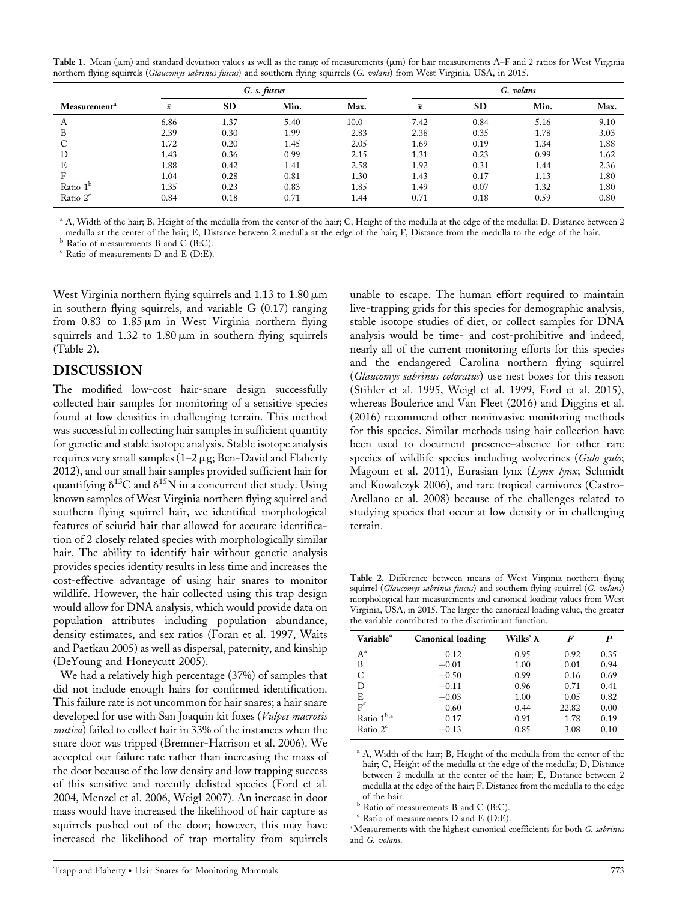Table 1. Mean ( $\mu$ m) and standard deviation values as well as the range of measurements ( $\mu$ m) for hair measurements A–F and 2 ratios for West Virginia northern flying squirrels (Glaucomys sabrinus fuscus) and southern flying squirrels (G. volans) from West Virginia, USA, in 2015.

|                          |           |           | G. s. fuscus |      |           | G. volans |      |      |
|--------------------------|-----------|-----------|--------------|------|-----------|-----------|------|------|
| Measurement <sup>a</sup> | $\bar{x}$ | <b>SD</b> | Min.         | Max. | $\bar{x}$ | <b>SD</b> | Min. | Max. |
| А                        | 6.86      | 1.37      | 5.40         | 10.0 | 7.42      | 0.84      | 5.16 | 9.10 |
| B                        | 2.39      | 0.30      | 1.99         | 2.83 | 2.38      | 0.35      | 1.78 | 3.03 |
|                          | 1.72      | 0.20      | 1.45         | 2.05 | 1.69      | 0.19      | 1.34 | 1.88 |
| D                        | 1.43      | 0.36      | 0.99         | 2.15 | 1.31      | 0.23      | 0.99 | 1.62 |
| E                        | 1.88      | 0.42      | 1.41         | 2.58 | 1.92      | 0.31      | 1.44 | 2.36 |
| F                        | 1.04      | 0.28      | 0.81         | 1.30 | 1.43      | 0.17      | 1.13 | 1.80 |
| Ratio 1 <sup>b</sup>     | 1.35      | 0.23      | 0.83         | 1.85 | 1.49      | 0.07      | 1.32 | 1.80 |
| Ratio $2c$               | 0.84      | 0.18      | 0.71         | 1.44 | 0.71      | 0.18      | 0.59 | 0.80 |

<sup>a</sup> A, Width of the hair; B, Height of the medulla from the center of the hair; C, Height of the medulla at the edge of the medulla; D, Distance between 2 medulla at the center of the hair; E, Distance between 2 medulla at the edge of the hair; F, Distance from the medulla to the edge of the hair.

<sup>b</sup> Ratio of measurements B and C (B:C).

 $c$  Ratio of measurements D and E (D:E).

West Virginia northern flying squirrels and 1.13 to  $1.80 \,\mu m$ in southern flying squirrels, and variable G (0.17) ranging from  $0.83$  to  $1.85 \mu m$  in West Virginia northern flying squirrels and  $1.32$  to  $1.80 \,\mu m$  in southern flying squirrels (Table 2).

#### DISCUSSION

The modified low-cost hair-snare design successfully collected hair samples for monitoring of a sensitive species found at low densities in challenging terrain. This method was successful in collecting hair samples in sufficient quantity for genetic and stable isotope analysis. Stable isotope analysis requires very small samples  $(1-2 \mu g; Ben-David$  and Flaherty 2012), and our small hair samples provided sufficient hair for quantifying  $\delta^{13}C$  and  $\delta^{15}N$  in a concurrent diet study. Using known samples of West Virginia northern flying squirrel and southern flying squirrel hair, we identified morphological features of sciurid hair that allowed for accurate identification of 2 closely related species with morphologically similar hair. The ability to identify hair without genetic analysis provides species identity results in less time and increases the cost-effective advantage of using hair snares to monitor wildlife. However, the hair collected using this trap design would allow for DNA analysis, which would provide data on population attributes including population abundance, density estimates, and sex ratios (Foran et al. 1997, Waits and Paetkau 2005) as well as dispersal, paternity, and kinship (DeYoung and Honeycutt 2005).

We had a relatively high percentage (37%) of samples that did not include enough hairs for confirmed identification. This failure rate is not uncommon for hair snares; a hair snare developed for use with San Joaquin kit foxes (Vulpes macrotis mutica) failed to collect hair in 33% of the instances when the snare door was tripped (Bremner-Harrison et al. 2006). We accepted our failure rate rather than increasing the mass of the door because of the low density and low trapping success of this sensitive and recently delisted species (Ford et al. 2004, Menzel et al. 2006, Weigl 2007). An increase in door mass would have increased the likelihood of hair capture as squirrels pushed out of the door; however, this may have increased the likelihood of trap mortality from squirrels

unable to escape. The human effort required to maintain live-trapping grids for this species for demographic analysis, stable isotope studies of diet, or collect samples for DNA analysis would be time- and cost-prohibitive and indeed, nearly all of the current monitoring efforts for this species and the endangered Carolina northern flying squirrel (Glaucomys sabrinus coloratus) use nest boxes for this reason (Stihler et al. 1995, Weigl et al. 1999, Ford et al. 2015), whereas Boulerice and Van Fleet (2016) and Diggins et al. (2016) recommend other noninvasive monitoring methods for this species. Similar methods using hair collection have been used to document presence–absence for other rare species of wildlife species including wolverines (Gulo gulo; Magoun et al. 2011), Eurasian lynx (Lynx lynx; Schmidt and Kowalczyk 2006), and rare tropical carnivores (Castro-Arellano et al. 2008) because of the challenges related to studying species that occur at low density or in challenging terrain.

Table 2. Difference between means of West Virginia northern flying squirrel (Glaucomys sabrinus fuscus) and southern flying squirrel (G. volans) morphological hair measurements and canonical loading values from West Virginia, USA, in 2015. The larger the canonical loading value, the greater the variable contributed to the discriminant function.

| Variable <sup>a</sup> | <b>Canonical loading</b> | Wilks' $\lambda$ | F     | P    |
|-----------------------|--------------------------|------------------|-------|------|
| $A^a$                 | 0.12                     | 0.95             | 0.92  | 0.35 |
| B                     | $-0.01$                  | 1.00             | 0.01  | 0.94 |
| C                     | $-0.50$                  | 0.99             | 0.16  | 0.69 |
| D                     | $-0.11$                  | 0.96             | 0.71  | 0.41 |
| E                     | $-0.03$                  | 1.00             | 0.05  | 0.82 |
| F <sup>f</sup>        | 0.60                     | 0.44             | 22.82 | 0.00 |
| Ratio $1^{b,*}$       | 0.17                     | 0.91             | 1.78  | 0.19 |
| Ratio $2c$            | $-0.13$                  | 0.85             | 3.08  | 0.10 |

<sup>a</sup> A, Width of the hair; B, Height of the medulla from the center of the hair; C, Height of the medulla at the edge of the medulla; D, Distance between 2 medulla at the center of the hair; E, Distance between 2 medulla at the edge of the hair; F, Distance from the medulla to the edge of the hair.

b Ratio of measurements B and C (B:C).

 $c$  Ratio of measurements D and E (D:E).

Measurements with the highest canonical coefficients for both G. sabrinus and G. volans.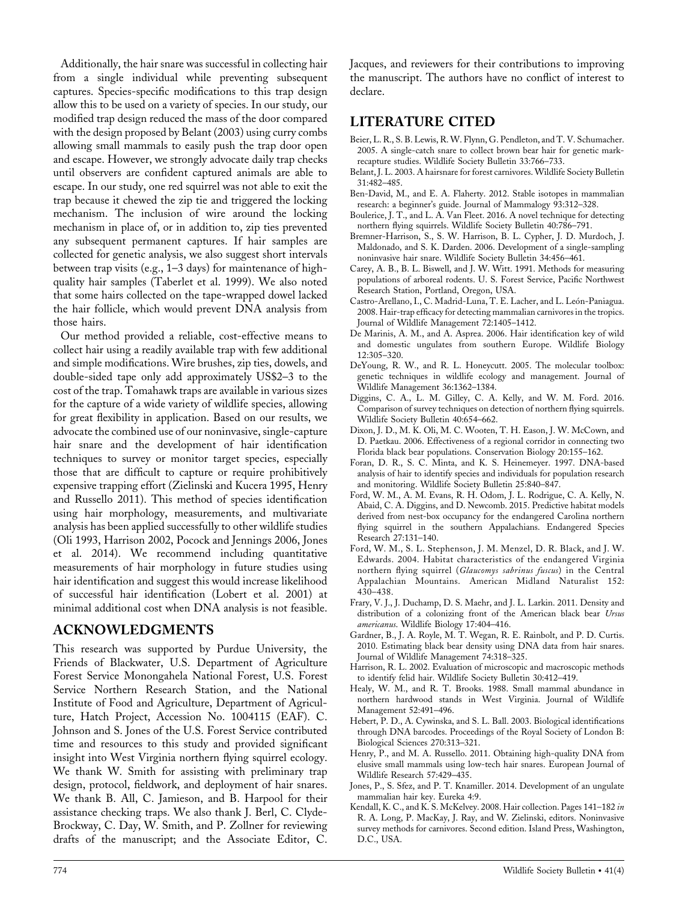Additionally, the hair snare was successful in collecting hair from a single individual while preventing subsequent captures. Species-specific modifications to this trap design allow this to be used on a variety of species. In our study, our modified trap design reduced the mass of the door compared with the design proposed by Belant (2003) using curry combs allowing small mammals to easily push the trap door open and escape. However, we strongly advocate daily trap checks until observers are confident captured animals are able to escape. In our study, one red squirrel was not able to exit the trap because it chewed the zip tie and triggered the locking mechanism. The inclusion of wire around the locking mechanism in place of, or in addition to, zip ties prevented any subsequent permanent captures. If hair samples are collected for genetic analysis, we also suggest short intervals between trap visits (e.g., 1–3 days) for maintenance of highquality hair samples (Taberlet et al. 1999). We also noted that some hairs collected on the tape-wrapped dowel lacked the hair follicle, which would prevent DNA analysis from those hairs.

Our method provided a reliable, cost-effective means to collect hair using a readily available trap with few additional and simple modifications. Wire brushes, zip ties, dowels, and double-sided tape only add approximately US\$2–3 to the cost of the trap. Tomahawk traps are available in various sizes for the capture of a wide variety of wildlife species, allowing for great flexibility in application. Based on our results, we advocate the combined use of our noninvasive, single-capture hair snare and the development of hair identification techniques to survey or monitor target species, especially those that are difficult to capture or require prohibitively expensive trapping effort (Zielinski and Kucera 1995, Henry and Russello 2011). This method of species identification using hair morphology, measurements, and multivariate analysis has been applied successfully to other wildlife studies (Oli 1993, Harrison 2002, Pocock and Jennings 2006, Jones et al. 2014). We recommend including quantitative measurements of hair morphology in future studies using hair identification and suggest this would increase likelihood of successful hair identification (Lobert et al. 2001) at minimal additional cost when DNA analysis is not feasible.

#### ACKNOWLEDGMENTS

This research was supported by Purdue University, the Friends of Blackwater, U.S. Department of Agriculture Forest Service Monongahela National Forest, U.S. Forest Service Northern Research Station, and the National Institute of Food and Agriculture, Department of Agriculture, Hatch Project, Accession No. 1004115 (EAF). C. Johnson and S. Jones of the U.S. Forest Service contributed time and resources to this study and provided significant insight into West Virginia northern flying squirrel ecology. We thank W. Smith for assisting with preliminary trap design, protocol, fieldwork, and deployment of hair snares. We thank B. All, C. Jamieson, and B. Harpool for their assistance checking traps. We also thank J. Berl, C. Clyde-Brockway, C. Day, W. Smith, and P. Zollner for reviewing drafts of the manuscript; and the Associate Editor, C.

Jacques, and reviewers for their contributions to improving the manuscript. The authors have no conflict of interest to declare.

# LITERATURE CITED

- Beier, L. R., S. B. Lewis, R. W. Flynn, G. Pendleton, and T. V. Schumacher. 2005. A single-catch snare to collect brown bear hair for genetic markrecapture studies. Wildlife Society Bulletin 33:766–733.
- Belant, J. L. 2003. A hairsnare for forest carnivores. Wildlife Society Bulletin 31:482–485.
- Ben-David, M., and E. A. Flaherty. 2012. Stable isotopes in mammalian research: a beginner's guide. Journal of Mammalogy 93:312–328.
- Boulerice, J. T., and L. A. Van Fleet. 2016. A novel technique for detecting northern flying squirrels. Wildlife Society Bulletin 40:786–791.
- Bremner-Harrison, S., S. W. Harrison, B. L. Cypher, J. D. Murdoch, J. Maldonado, and S. K. Darden. 2006. Development of a single-sampling noninvasive hair snare. Wildlife Society Bulletin 34:456–461.
- Carey, A. B., B. L. Biswell, and J. W. Witt. 1991. Methods for measuring populations of arboreal rodents. U. S. Forest Service, Pacific Northwest Research Station, Portland, Oregon, USA.
- Castro-Arellano, I., C. Madrid-Luna, T. E. Lacher, and L. León-Paniagua. 2008. Hair-trap efficacy for detecting mammalian carnivores in the tropics. Journal of Wildlife Management 72:1405–1412.
- De Marinis, A. M., and A. Asprea. 2006. Hair identification key of wild and domestic ungulates from southern Europe. Wildlife Biology 12:305–320.
- DeYoung, R. W., and R. L. Honeycutt. 2005. The molecular toolbox: genetic techniques in wildlife ecology and management. Journal of Wildlife Management 36:1362–1384.
- Diggins, C. A., L. M. Gilley, C. A. Kelly, and W. M. Ford. 2016. Comparison of survey techniques on detection of northern flying squirrels. Wildlife Society Bulletin 40:654–662.
- Dixon, J. D., M. K. Oli, M. C. Wooten, T. H. Eason, J. W. McCown, and D. Paetkau. 2006. Effectiveness of a regional corridor in connecting two Florida black bear populations. Conservation Biology 20:155–162.
- Foran, D. R., S. C. Minta, and K. S. Heinemeyer. 1997. DNA-based analysis of hair to identify species and individuals for population research and monitoring. Wildlife Society Bulletin 25:840–847.
- Ford, W. M., A. M. Evans, R. H. Odom, J. L. Rodrigue, C. A. Kelly, N. Abaid, C. A. Diggins, and D. Newcomb. 2015. Predictive habitat models derived from nest-box occupancy for the endangered Carolina northern flying squirrel in the southern Appalachians. Endangered Species Research 27:131–140.
- Ford, W. M., S. L. Stephenson, J. M. Menzel, D. R. Black, and J. W. Edwards. 2004. Habitat characteristics of the endangered Virginia northern flying squirrel (Glaucomys sabrinus fuscus) in the Central Appalachian Mountains. American Midland Naturalist 152: 430–438.
- Frary, V. J., J. Duchamp, D. S. Maehr, and J. L. Larkin. 2011. Density and distribution of a colonizing front of the American black bear Ursus americanus. Wildlife Biology 17:404–416.
- Gardner, B., J. A. Royle, M. T. Wegan, R. E. Rainbolt, and P. D. Curtis. 2010. Estimating black bear density using DNA data from hair snares. Journal of Wildlife Management 74:318–325.
- Harrison, R. L. 2002. Evaluation of microscopic and macroscopic methods to identify felid hair. Wildlife Society Bulletin 30:412–419.
- Healy, W. M., and R. T. Brooks. 1988. Small mammal abundance in northern hardwood stands in West Virginia. Journal of Wildlife Management 52:491–496.
- Hebert, P. D., A. Cywinska, and S. L. Ball. 2003. Biological identifications through DNA barcodes. Proceedings of the Royal Society of London B: Biological Sciences 270:313–321.
- Henry, P., and M. A. Russello. 2011. Obtaining high-quality DNA from elusive small mammals using low-tech hair snares. European Journal of Wildlife Research 57:429–435.
- Jones, P., S. Sfez, and P. T. Knamiller. 2014. Development of an ungulate mammalian hair key. Eureka 4:9.
- Kendall, K. C., and K. S. McKelvey. 2008. Hair collection. Pages 141-182 in R. A. Long, P. MacKay, J. Ray, and W. Zielinski, editors. Noninvasive survey methods for carnivores. Second edition. Island Press, Washington, D.C., USA.